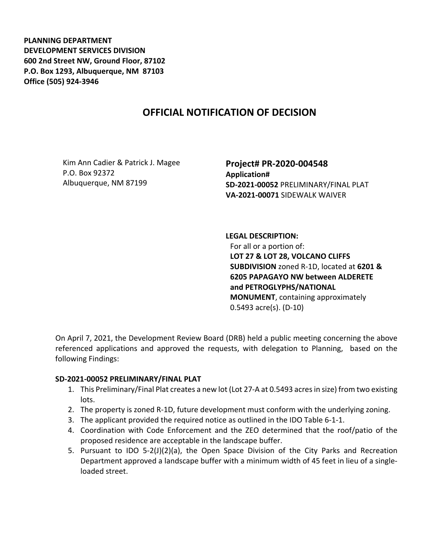**PLANNING DEPARTMENT DEVELOPMENT SERVICES DIVISION 600 2nd Street NW, Ground Floor, 87102 P.O. Box 1293, Albuquerque, NM 87103 Office (505) 924-3946** 

## **OFFICIAL NOTIFICATION OF DECISION**

Kim Ann Cadier & Patrick J. Magee P.O. Box 92372 Albuquerque, NM 87199

**Project# PR-2020-004548 Application# SD-2021-00052** PRELIMINARY/FINAL PLAT **VA-2021-00071** SIDEWALK WAIVER

**LEGAL DESCRIPTION:** For all or a portion of: **LOT 27 & LOT 28, VOLCANO CLIFFS SUBDIVISION** zoned R-1D, located at **6201 & 6205 PAPAGAYO NW between ALDERETE and PETROGLYPHS/NATIONAL MONUMENT**, containing approximately 0.5493 acre(s). (D-10)

On April 7, 2021, the Development Review Board (DRB) held a public meeting concerning the above referenced applications and approved the requests, with delegation to Planning, based on the following Findings:

## **SD-2021-00052 PRELIMINARY/FINAL PLAT**

- 1. This Preliminary/Final Plat creates a new lot (Lot 27-A at 0.5493 acres in size) from two existing lots.
- 2. The property is zoned R-1D, future development must conform with the underlying zoning.
- 3. The applicant provided the required notice as outlined in the IDO Table 6-1-1.
- 4. Coordination with Code Enforcement and the ZEO determined that the roof/patio of the proposed residence are acceptable in the landscape buffer.
- 5. Pursuant to IDO 5-2(J)(2)(a), the Open Space Division of the City Parks and Recreation Department approved a landscape buffer with a minimum width of 45 feet in lieu of a singleloaded street.